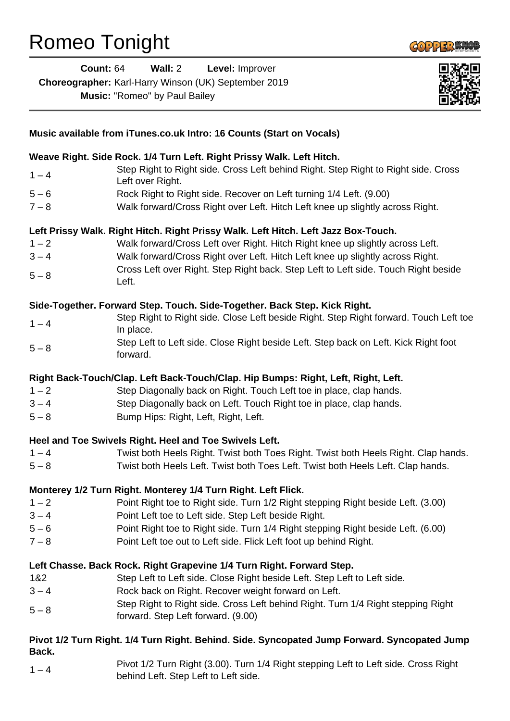## Romeo Tonight



| Count: $64$                                                 | Wall: $2$ | <b>Level: Improver</b> |
|-------------------------------------------------------------|-----------|------------------------|
| <b>Choreographer:</b> Karl-Harry Winson (UK) September 2019 |           |                        |

**Music:** "Romeo" by Paul Bailey



| Music available from iTunes.co.uk Intro: 16 Counts (Start on Vocals)                         |                                                                                                                             |  |
|----------------------------------------------------------------------------------------------|-----------------------------------------------------------------------------------------------------------------------------|--|
| Weave Right. Side Rock. 1/4 Turn Left. Right Prissy Walk. Left Hitch.                        |                                                                                                                             |  |
| $1 - 4$                                                                                      | Step Right to Right side. Cross Left behind Right. Step Right to Right side. Cross<br>Left over Right.                      |  |
| $5 - 6$                                                                                      | Rock Right to Right side. Recover on Left turning 1/4 Left. (9.00)                                                          |  |
| $7 - 8$                                                                                      | Walk forward/Cross Right over Left. Hitch Left knee up slightly across Right.                                               |  |
| Left Prissy Walk. Right Hitch. Right Prissy Walk. Left Hitch. Left Jazz Box-Touch.           |                                                                                                                             |  |
| $1 - 2$                                                                                      | Walk forward/Cross Left over Right. Hitch Right knee up slightly across Left.                                               |  |
| $3 - 4$                                                                                      | Walk forward/Cross Right over Left. Hitch Left knee up slightly across Right.                                               |  |
| $5 - 8$                                                                                      | Cross Left over Right. Step Right back. Step Left to Left side. Touch Right beside<br>Left.                                 |  |
| Side-Together. Forward Step. Touch. Side-Together. Back Step. Kick Right.                    |                                                                                                                             |  |
| $1 - 4$                                                                                      | Step Right to Right side. Close Left beside Right. Step Right forward. Touch Left toe<br>In place.                          |  |
| $5 - 8$                                                                                      | Step Left to Left side. Close Right beside Left. Step back on Left. Kick Right foot<br>forward.                             |  |
| Right Back-Touch/Clap. Left Back-Touch/Clap. Hip Bumps: Right, Left, Right, Left.            |                                                                                                                             |  |
| $1 - 2$                                                                                      | Step Diagonally back on Right. Touch Left toe in place, clap hands.                                                         |  |
| $3 - 4$                                                                                      | Step Diagonally back on Left. Touch Right toe in place, clap hands.                                                         |  |
| $5 - 8$                                                                                      | Bump Hips: Right, Left, Right, Left.                                                                                        |  |
| Heel and Toe Swivels Right. Heel and Toe Swivels Left.                                       |                                                                                                                             |  |
| $1 - 4$                                                                                      | Twist both Heels Right. Twist both Toes Right. Twist both Heels Right. Clap hands.                                          |  |
| $5 - 8$                                                                                      | Twist both Heels Left. Twist both Toes Left. Twist both Heels Left. Clap hands.                                             |  |
|                                                                                              | Monterey 1/2 Turn Right. Monterey 1/4 Turn Right. Left Flick.                                                               |  |
| $1 - 2$                                                                                      | Point Right toe to Right side. Turn 1/2 Right stepping Right beside Left. (3.00)                                            |  |
| $3 - 4$                                                                                      | Point Left toe to Left side. Step Left beside Right.                                                                        |  |
| $5 - 6$                                                                                      | Point Right toe to Right side. Turn 1/4 Right stepping Right beside Left. (6.00)                                            |  |
| $7 - 8$                                                                                      | Point Left toe out to Left side. Flick Left foot up behind Right.                                                           |  |
|                                                                                              | Left Chasse. Back Rock. Right Grapevine 1/4 Turn Right. Forward Step.                                                       |  |
| 1&2                                                                                          | Step Left to Left side. Close Right beside Left. Step Left to Left side.                                                    |  |
| $3 - 4$                                                                                      | Rock back on Right. Recover weight forward on Left.                                                                         |  |
| $5 - 8$                                                                                      | Step Right to Right side. Cross Left behind Right. Turn 1/4 Right stepping Right<br>forward. Step Left forward. (9.00)      |  |
| Pivot 1/2 Turn Right. 1/4 Turn Right. Behind. Side. Syncopated Jump Forward. Syncopated Jump |                                                                                                                             |  |
| Back.                                                                                        |                                                                                                                             |  |
| $1 - 4$                                                                                      | Pivot 1/2 Turn Right (3.00). Turn 1/4 Right stepping Left to Left side. Cross Right<br>behind Left. Step Left to Left side. |  |